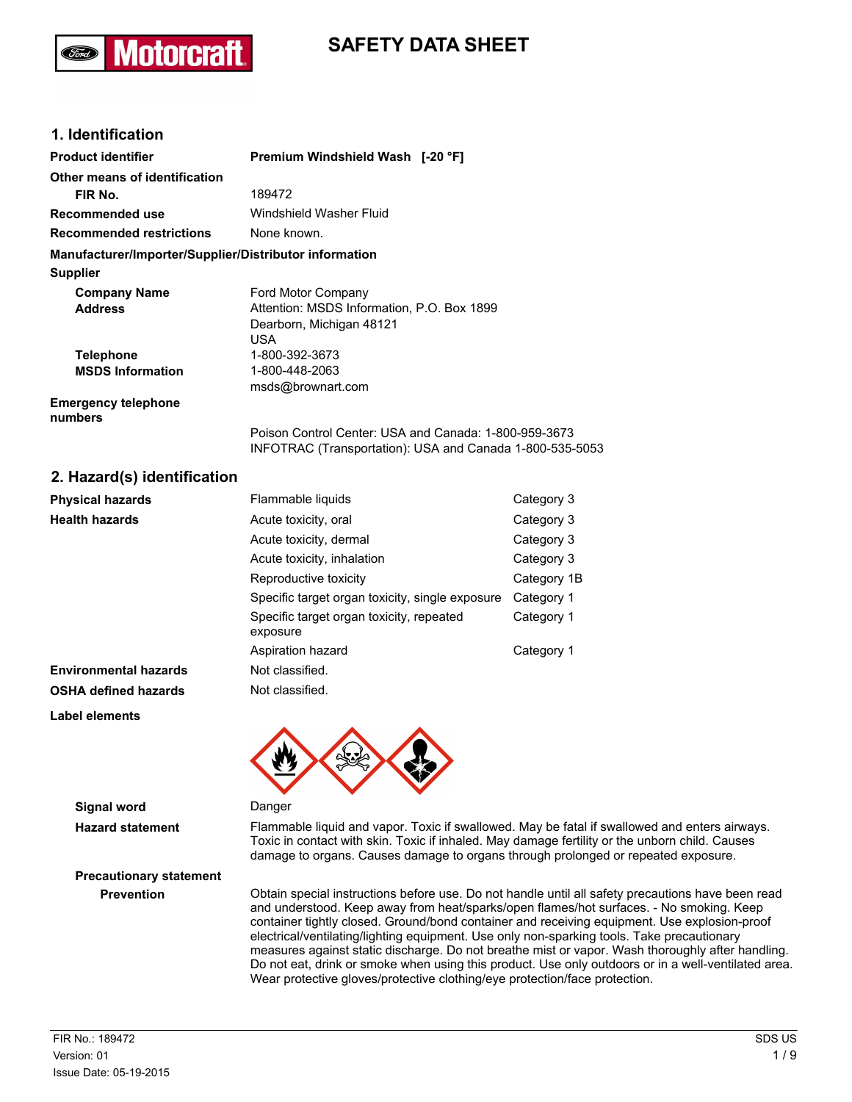# **SAFETY DATA SHEET**

### **1. Identification**

Motorcra

| <b>Product identifier</b>                              | Premium Windshield Wash [-20 °F]                                                                                  |
|--------------------------------------------------------|-------------------------------------------------------------------------------------------------------------------|
| Other means of identification                          |                                                                                                                   |
| FIR No.                                                | 189472                                                                                                            |
| Recommended use                                        | Windshield Washer Fluid                                                                                           |
| <b>Recommended restrictions</b>                        | None known.                                                                                                       |
| Manufacturer/Importer/Supplier/Distributor information |                                                                                                                   |
| <b>Supplier</b>                                        |                                                                                                                   |
| <b>Company Name</b>                                    | Ford Motor Company                                                                                                |
| <b>Address</b>                                         | Attention: MSDS Information, P.O. Box 1899                                                                        |
|                                                        | Dearborn, Michigan 48121                                                                                          |
|                                                        | USA                                                                                                               |
| <b>Telephone</b>                                       | 1-800-392-3673                                                                                                    |
| <b>MSDS Information</b>                                | 1-800-448-2063                                                                                                    |
|                                                        | msds@brownart.com                                                                                                 |
| <b>Emergency telephone</b><br>numbers                  |                                                                                                                   |
|                                                        | Poison Control Center: USA and Canada: 1-800-959-3673<br>INFOTRAC (Transportation): USA and Canada 1-800-535-5053 |

### **2. Hazard(s) identification**

| <b>Physical hazards</b>      | Flammable liquids                                    | Category 3  |
|------------------------------|------------------------------------------------------|-------------|
| <b>Health hazards</b>        | Acute toxicity, oral                                 | Category 3  |
|                              | Acute toxicity, dermal                               | Category 3  |
|                              | Acute toxicity, inhalation                           | Category 3  |
|                              | Reproductive toxicity                                | Category 1B |
|                              | Specific target organ toxicity, single exposure      | Category 1  |
|                              | Specific target organ toxicity, repeated<br>exposure | Category 1  |
|                              | Aspiration hazard                                    | Category 1  |
| <b>Environmental hazards</b> | Not classified.                                      |             |
| <b>OSHA defined hazards</b>  | Not classified.                                      |             |
| Label elements               |                                                      |             |



#### **Signal word** Danger

**Hazard statement** Flammable liquid and vapor. Toxic if swallowed. May be fatal if swallowed and enters airways. Toxic in contact with skin. Toxic if inhaled. May damage fertility or the unborn child. Causes damage to organs. Causes damage to organs through prolonged or repeated exposure.

**Prevention** Obtain special instructions before use. Do not handle until all safety precautions have been read and understood. Keep away from heat/sparks/open flames/hot surfaces. - No smoking. Keep container tightly closed. Ground/bond container and receiving equipment. Use explosion-proof electrical/ventilating/lighting equipment. Use only non-sparking tools. Take precautionary measures against static discharge. Do not breathe mist or vapor. Wash thoroughly after handling. Do not eat, drink or smoke when using this product. Use only outdoors or in a well-ventilated area. Wear protective gloves/protective clothing/eye protection/face protection.

**Precautionary statement**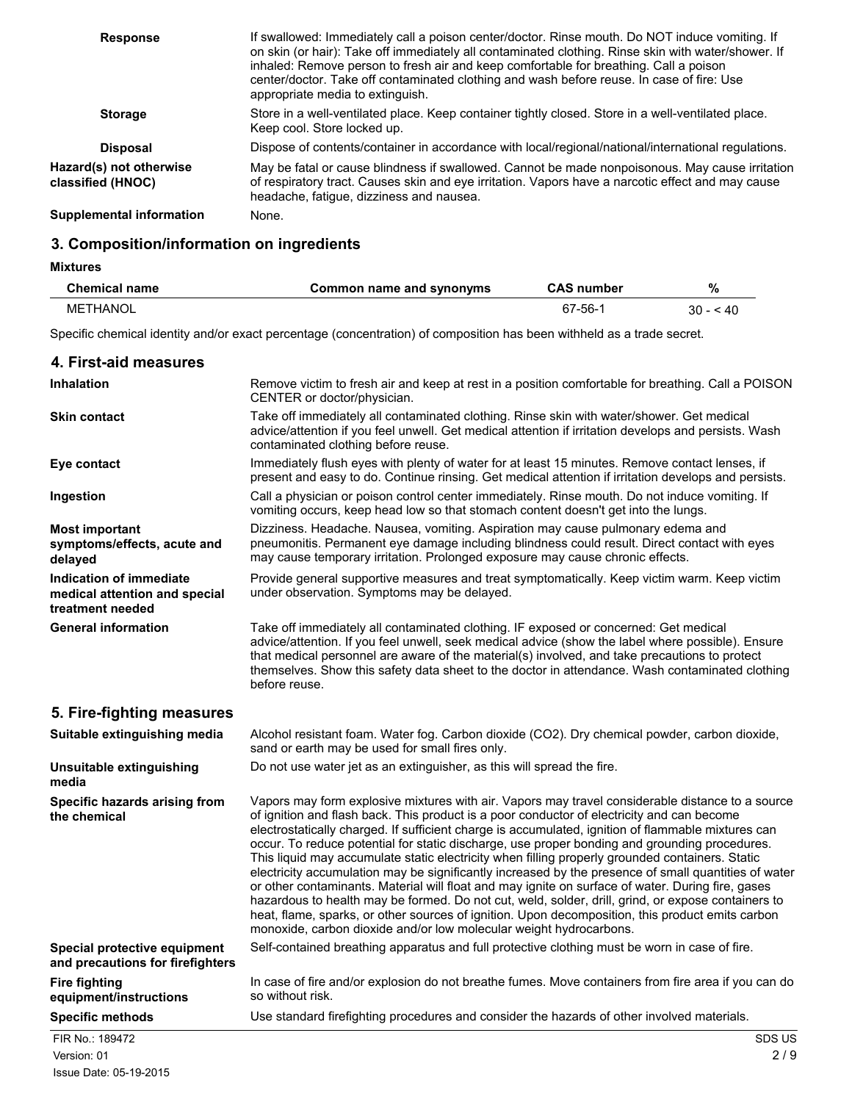| <b>Response</b>                              | If swallowed: Immediately call a poison center/doctor. Rinse mouth. Do NOT induce vomiting. If<br>on skin (or hair): Take off immediately all contaminated clothing. Rinse skin with water/shower. If<br>inhaled: Remove person to fresh air and keep comfortable for breathing. Call a poison<br>center/doctor. Take off contaminated clothing and wash before reuse. In case of fire: Use<br>appropriate media to extinguish. |
|----------------------------------------------|---------------------------------------------------------------------------------------------------------------------------------------------------------------------------------------------------------------------------------------------------------------------------------------------------------------------------------------------------------------------------------------------------------------------------------|
| <b>Storage</b>                               | Store in a well-ventilated place. Keep container tightly closed. Store in a well-ventilated place.<br>Keep cool. Store locked up.                                                                                                                                                                                                                                                                                               |
| <b>Disposal</b>                              | Dispose of contents/container in accordance with local/regional/national/international regulations.                                                                                                                                                                                                                                                                                                                             |
| Hazard(s) not otherwise<br>classified (HNOC) | May be fatal or cause blindness if swallowed. Cannot be made nonpoisonous. May cause irritation<br>of respiratory tract. Causes skin and eye irritation. Vapors have a narcotic effect and may cause<br>headache, fatigue, dizziness and nausea.                                                                                                                                                                                |
| Supplemental information                     | None.                                                                                                                                                                                                                                                                                                                                                                                                                           |

### **3. Composition/information on ingredients**

#### **Mixtures**

| <b>Chemical name</b> | Common name and synonyms | <b>CAS number</b> | %  |
|----------------------|--------------------------|-------------------|----|
| METHANOL             |                          | 67-56-            | 30 |

|                                                                              | Specific chemical identity and/or exact percentage (concentration) of composition has been withheld as a trade secret.                                                                                                                                                                                                                                                                                                                                                                                                                                                                                                                                                                                                                                                                                                                                                                                                                                                                                |
|------------------------------------------------------------------------------|-------------------------------------------------------------------------------------------------------------------------------------------------------------------------------------------------------------------------------------------------------------------------------------------------------------------------------------------------------------------------------------------------------------------------------------------------------------------------------------------------------------------------------------------------------------------------------------------------------------------------------------------------------------------------------------------------------------------------------------------------------------------------------------------------------------------------------------------------------------------------------------------------------------------------------------------------------------------------------------------------------|
| 4. First-aid measures                                                        |                                                                                                                                                                                                                                                                                                                                                                                                                                                                                                                                                                                                                                                                                                                                                                                                                                                                                                                                                                                                       |
| <b>Inhalation</b>                                                            | Remove victim to fresh air and keep at rest in a position comfortable for breathing. Call a POISON<br>CENTER or doctor/physician.                                                                                                                                                                                                                                                                                                                                                                                                                                                                                                                                                                                                                                                                                                                                                                                                                                                                     |
| <b>Skin contact</b>                                                          | Take off immediately all contaminated clothing. Rinse skin with water/shower. Get medical<br>advice/attention if you feel unwell. Get medical attention if irritation develops and persists. Wash<br>contaminated clothing before reuse.                                                                                                                                                                                                                                                                                                                                                                                                                                                                                                                                                                                                                                                                                                                                                              |
| Eye contact                                                                  | Immediately flush eyes with plenty of water for at least 15 minutes. Remove contact lenses, if<br>present and easy to do. Continue rinsing. Get medical attention if irritation develops and persists.                                                                                                                                                                                                                                                                                                                                                                                                                                                                                                                                                                                                                                                                                                                                                                                                |
| Ingestion                                                                    | Call a physician or poison control center immediately. Rinse mouth. Do not induce vomiting. If<br>vomiting occurs, keep head low so that stomach content doesn't get into the lungs.                                                                                                                                                                                                                                                                                                                                                                                                                                                                                                                                                                                                                                                                                                                                                                                                                  |
| <b>Most important</b><br>symptoms/effects, acute and<br>delayed              | Dizziness. Headache. Nausea, vomiting. Aspiration may cause pulmonary edema and<br>pneumonitis. Permanent eye damage including blindness could result. Direct contact with eyes<br>may cause temporary irritation. Prolonged exposure may cause chronic effects.                                                                                                                                                                                                                                                                                                                                                                                                                                                                                                                                                                                                                                                                                                                                      |
| Indication of immediate<br>medical attention and special<br>treatment needed | Provide general supportive measures and treat symptomatically. Keep victim warm. Keep victim<br>under observation. Symptoms may be delayed.                                                                                                                                                                                                                                                                                                                                                                                                                                                                                                                                                                                                                                                                                                                                                                                                                                                           |
| <b>General information</b>                                                   | Take off immediately all contaminated clothing. IF exposed or concerned: Get medical<br>advice/attention. If you feel unwell, seek medical advice (show the label where possible). Ensure<br>that medical personnel are aware of the material(s) involved, and take precautions to protect<br>themselves. Show this safety data sheet to the doctor in attendance. Wash contaminated clothing<br>before reuse.                                                                                                                                                                                                                                                                                                                                                                                                                                                                                                                                                                                        |
| 5. Fire-fighting measures                                                    |                                                                                                                                                                                                                                                                                                                                                                                                                                                                                                                                                                                                                                                                                                                                                                                                                                                                                                                                                                                                       |
| Suitable extinguishing media                                                 | Alcohol resistant foam. Water fog. Carbon dioxide (CO2). Dry chemical powder, carbon dioxide,<br>sand or earth may be used for small fires only.                                                                                                                                                                                                                                                                                                                                                                                                                                                                                                                                                                                                                                                                                                                                                                                                                                                      |
| Unsuitable extinguishing<br>media                                            | Do not use water jet as an extinguisher, as this will spread the fire.                                                                                                                                                                                                                                                                                                                                                                                                                                                                                                                                                                                                                                                                                                                                                                                                                                                                                                                                |
| Specific hazards arising from<br>the chemical                                | Vapors may form explosive mixtures with air. Vapors may travel considerable distance to a source<br>of ignition and flash back. This product is a poor conductor of electricity and can become<br>electrostatically charged. If sufficient charge is accumulated, ignition of flammable mixtures can<br>occur. To reduce potential for static discharge, use proper bonding and grounding procedures.<br>This liquid may accumulate static electricity when filling properly grounded containers. Static<br>electricity accumulation may be significantly increased by the presence of small quantities of water<br>or other contaminants. Material will float and may ignite on surface of water. During fire, gases<br>hazardous to health may be formed. Do not cut, weld, solder, drill, grind, or expose containers to<br>heat, flame, sparks, or other sources of ignition. Upon decomposition, this product emits carbon<br>monoxide, carbon dioxide and/or low molecular weight hydrocarbons. |
| Special protective equipment<br>and precautions for firefighters             | Self-contained breathing apparatus and full protective clothing must be worn in case of fire.                                                                                                                                                                                                                                                                                                                                                                                                                                                                                                                                                                                                                                                                                                                                                                                                                                                                                                         |
| <b>Fire fighting</b><br>equipment/instructions                               | In case of fire and/or explosion do not breathe fumes. Move containers from fire area if you can do<br>so without risk.                                                                                                                                                                                                                                                                                                                                                                                                                                                                                                                                                                                                                                                                                                                                                                                                                                                                               |

# **Specific methods** Use standard firefighting procedures and consider the hazards of other involved materials. FIR No.: 189472 SDS US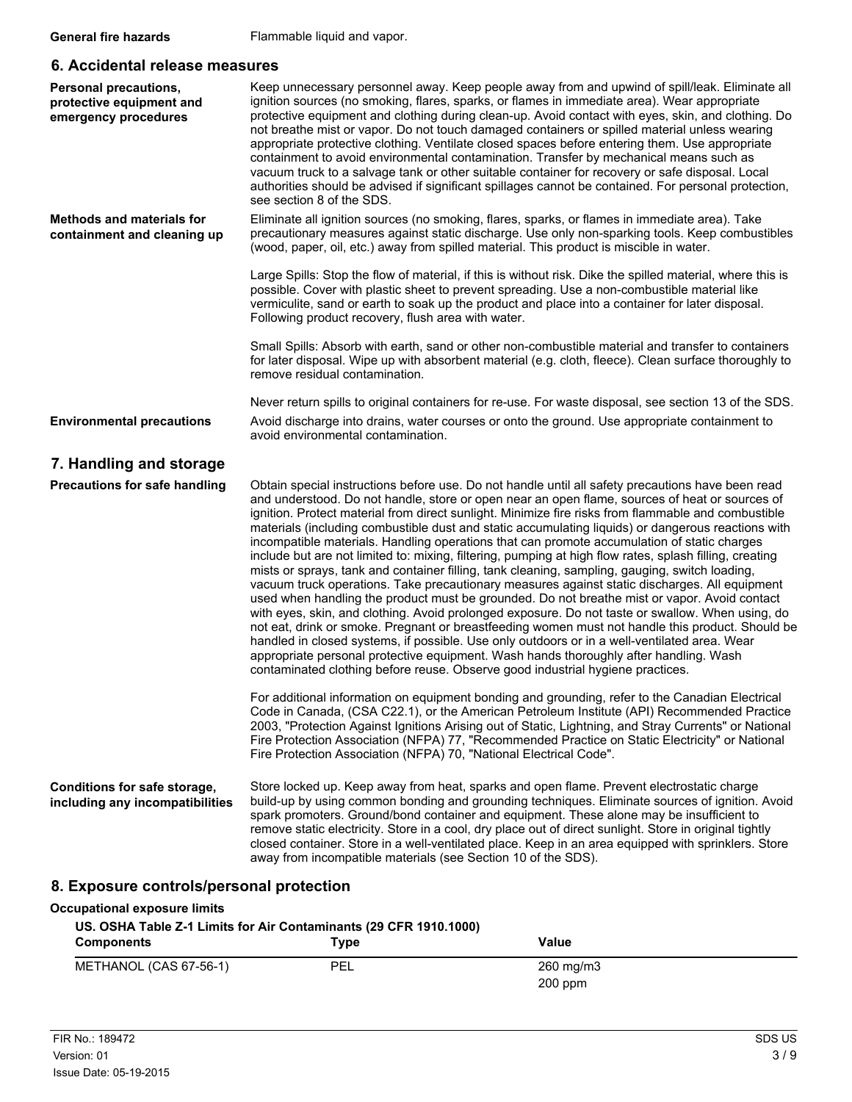#### **6. Accidental release measures**

| <b>Personal precautions,</b><br>protective equipment and<br>emergency procedures | Keep unnecessary personnel away. Keep people away from and upwind of spill/leak. Eliminate all<br>ignition sources (no smoking, flares, sparks, or flames in immediate area). Wear appropriate<br>protective equipment and clothing during clean-up. Avoid contact with eyes, skin, and clothing. Do<br>not breathe mist or vapor. Do not touch damaged containers or spilled material unless wearing<br>appropriate protective clothing. Ventilate closed spaces before entering them. Use appropriate<br>containment to avoid environmental contamination. Transfer by mechanical means such as<br>vacuum truck to a salvage tank or other suitable container for recovery or safe disposal. Local<br>authorities should be advised if significant spillages cannot be contained. For personal protection,<br>see section 8 of the SDS.                                                                                                                                                                                                                                                                                                                                                                                                                                                                                                                                                                                                                                                                                                                                                                                                                                                                                                                                                                                                                                                            |
|----------------------------------------------------------------------------------|------------------------------------------------------------------------------------------------------------------------------------------------------------------------------------------------------------------------------------------------------------------------------------------------------------------------------------------------------------------------------------------------------------------------------------------------------------------------------------------------------------------------------------------------------------------------------------------------------------------------------------------------------------------------------------------------------------------------------------------------------------------------------------------------------------------------------------------------------------------------------------------------------------------------------------------------------------------------------------------------------------------------------------------------------------------------------------------------------------------------------------------------------------------------------------------------------------------------------------------------------------------------------------------------------------------------------------------------------------------------------------------------------------------------------------------------------------------------------------------------------------------------------------------------------------------------------------------------------------------------------------------------------------------------------------------------------------------------------------------------------------------------------------------------------------------------------------------------------------------------------------------------------|
| <b>Methods and materials for</b><br>containment and cleaning up                  | Eliminate all ignition sources (no smoking, flares, sparks, or flames in immediate area). Take<br>precautionary measures against static discharge. Use only non-sparking tools. Keep combustibles<br>(wood, paper, oil, etc.) away from spilled material. This product is miscible in water.                                                                                                                                                                                                                                                                                                                                                                                                                                                                                                                                                                                                                                                                                                                                                                                                                                                                                                                                                                                                                                                                                                                                                                                                                                                                                                                                                                                                                                                                                                                                                                                                         |
|                                                                                  | Large Spills: Stop the flow of material, if this is without risk. Dike the spilled material, where this is<br>possible. Cover with plastic sheet to prevent spreading. Use a non-combustible material like<br>vermiculite, sand or earth to soak up the product and place into a container for later disposal.<br>Following product recovery, flush area with water.                                                                                                                                                                                                                                                                                                                                                                                                                                                                                                                                                                                                                                                                                                                                                                                                                                                                                                                                                                                                                                                                                                                                                                                                                                                                                                                                                                                                                                                                                                                                 |
|                                                                                  | Small Spills: Absorb with earth, sand or other non-combustible material and transfer to containers<br>for later disposal. Wipe up with absorbent material (e.g. cloth, fleece). Clean surface thoroughly to<br>remove residual contamination.                                                                                                                                                                                                                                                                                                                                                                                                                                                                                                                                                                                                                                                                                                                                                                                                                                                                                                                                                                                                                                                                                                                                                                                                                                                                                                                                                                                                                                                                                                                                                                                                                                                        |
|                                                                                  | Never return spills to original containers for re-use. For waste disposal, see section 13 of the SDS.                                                                                                                                                                                                                                                                                                                                                                                                                                                                                                                                                                                                                                                                                                                                                                                                                                                                                                                                                                                                                                                                                                                                                                                                                                                                                                                                                                                                                                                                                                                                                                                                                                                                                                                                                                                                |
| <b>Environmental precautions</b>                                                 | Avoid discharge into drains, water courses or onto the ground. Use appropriate containment to<br>avoid environmental contamination.                                                                                                                                                                                                                                                                                                                                                                                                                                                                                                                                                                                                                                                                                                                                                                                                                                                                                                                                                                                                                                                                                                                                                                                                                                                                                                                                                                                                                                                                                                                                                                                                                                                                                                                                                                  |
| 7. Handling and storage                                                          |                                                                                                                                                                                                                                                                                                                                                                                                                                                                                                                                                                                                                                                                                                                                                                                                                                                                                                                                                                                                                                                                                                                                                                                                                                                                                                                                                                                                                                                                                                                                                                                                                                                                                                                                                                                                                                                                                                      |
| <b>Precautions for safe handling</b>                                             | Obtain special instructions before use. Do not handle until all safety precautions have been read<br>and understood. Do not handle, store or open near an open flame, sources of heat or sources of<br>ignition. Protect material from direct sunlight. Minimize fire risks from flammable and combustible<br>materials (including combustible dust and static accumulating liquids) or dangerous reactions with<br>incompatible materials. Handling operations that can promote accumulation of static charges<br>include but are not limited to: mixing, filtering, pumping at high flow rates, splash filling, creating<br>mists or sprays, tank and container filling, tank cleaning, sampling, gauging, switch loading,<br>vacuum truck operations. Take precautionary measures against static discharges. All equipment<br>used when handling the product must be grounded. Do not breathe mist or vapor. Avoid contact<br>with eyes, skin, and clothing. Avoid prolonged exposure. Do not taste or swallow. When using, do<br>not eat, drink or smoke. Pregnant or breastfeeding women must not handle this product. Should be<br>handled in closed systems, if possible. Use only outdoors or in a well-ventilated area. Wear<br>appropriate personal protective equipment. Wash hands thoroughly after handling. Wash<br>contaminated clothing before reuse. Observe good industrial hygiene practices.<br>For additional information on equipment bonding and grounding, refer to the Canadian Electrical<br>Code in Canada, (CSA C22.1), or the American Petroleum Institute (API) Recommended Practice<br>2003, "Protection Against Ignitions Arising out of Static, Lightning, and Stray Currents" or National<br>Fire Protection Association (NFPA) 77, "Recommended Practice on Static Electricity" or National<br>Fire Protection Association (NFPA) 70, "National Electrical Code". |
| Conditions for safe storage,<br>including any incompatibilities                  | Store locked up. Keep away from heat, sparks and open flame. Prevent electrostatic charge<br>build-up by using common bonding and grounding techniques. Eliminate sources of ignition. Avoid<br>spark promoters. Ground/bond container and equipment. These alone may be insufficient to<br>remove static electricity. Store in a cool, dry place out of direct sunlight. Store in original tightly<br>closed container. Store in a well-ventilated place. Keep in an area equipped with sprinklers. Store<br>away from incompatible materials (see Section 10 of the SDS).                                                                                                                                                                                                                                                                                                                                                                                                                                                                                                                                                                                                                                                                                                                                                                                                                                                                                                                                                                                                                                                                                                                                                                                                                                                                                                                          |
| 8. Exposure controls/personal protection                                         |                                                                                                                                                                                                                                                                                                                                                                                                                                                                                                                                                                                                                                                                                                                                                                                                                                                                                                                                                                                                                                                                                                                                                                                                                                                                                                                                                                                                                                                                                                                                                                                                                                                                                                                                                                                                                                                                                                      |
| <b>Occupational exposure limits</b>                                              |                                                                                                                                                                                                                                                                                                                                                                                                                                                                                                                                                                                                                                                                                                                                                                                                                                                                                                                                                                                                                                                                                                                                                                                                                                                                                                                                                                                                                                                                                                                                                                                                                                                                                                                                                                                                                                                                                                      |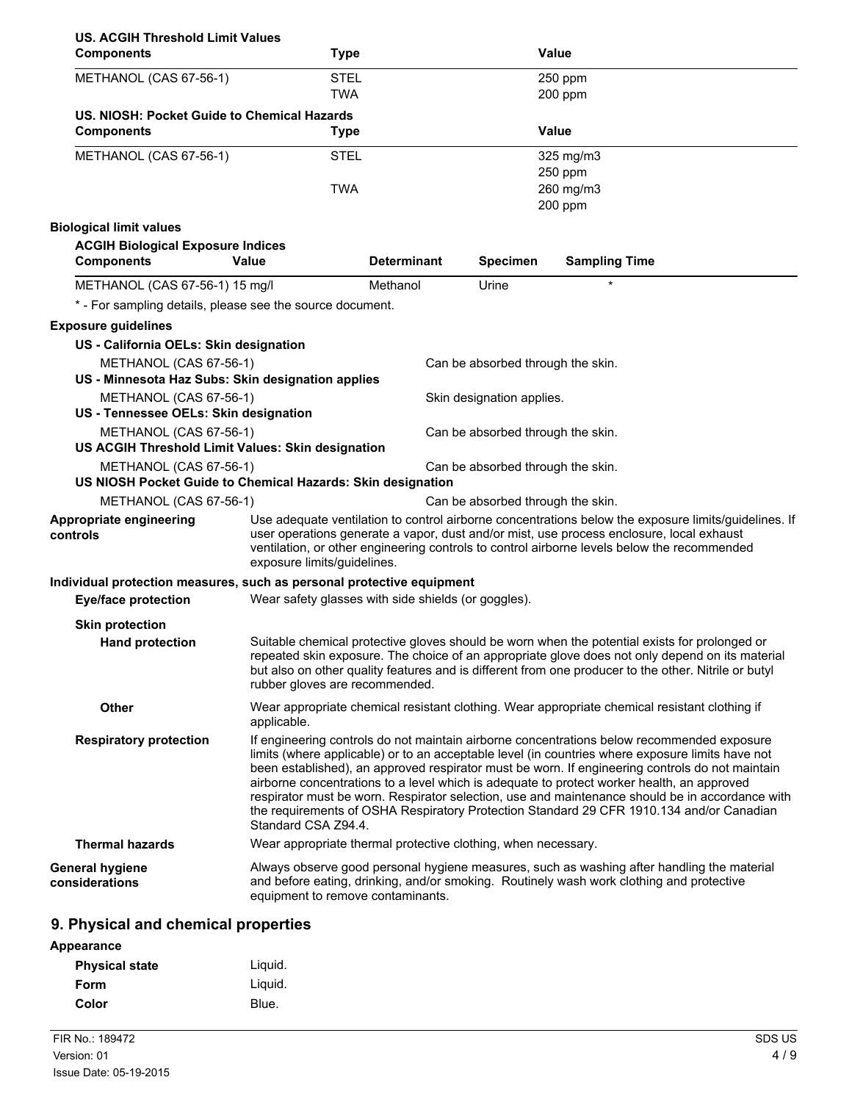| <b>US. ACGIH Threshold Limit Values</b>                                               |                                                               |                    |                                   |                                                                                                                                                                                                                                                                                                                                                                                                                                                                                                                                                                                                |
|---------------------------------------------------------------------------------------|---------------------------------------------------------------|--------------------|-----------------------------------|------------------------------------------------------------------------------------------------------------------------------------------------------------------------------------------------------------------------------------------------------------------------------------------------------------------------------------------------------------------------------------------------------------------------------------------------------------------------------------------------------------------------------------------------------------------------------------------------|
| <b>Components</b>                                                                     | <b>Type</b>                                                   |                    |                                   | Value                                                                                                                                                                                                                                                                                                                                                                                                                                                                                                                                                                                          |
| METHANOL (CAS 67-56-1)                                                                | <b>STEL</b>                                                   |                    |                                   | 250 ppm                                                                                                                                                                                                                                                                                                                                                                                                                                                                                                                                                                                        |
|                                                                                       | <b>TWA</b>                                                    |                    |                                   | 200 ppm                                                                                                                                                                                                                                                                                                                                                                                                                                                                                                                                                                                        |
| US. NIOSH: Pocket Guide to Chemical Hazards                                           |                                                               |                    |                                   |                                                                                                                                                                                                                                                                                                                                                                                                                                                                                                                                                                                                |
| <b>Components</b>                                                                     | <b>Type</b>                                                   |                    |                                   | <b>Value</b>                                                                                                                                                                                                                                                                                                                                                                                                                                                                                                                                                                                   |
| METHANOL (CAS 67-56-1)                                                                | <b>STEL</b>                                                   |                    |                                   | 325 mg/m3                                                                                                                                                                                                                                                                                                                                                                                                                                                                                                                                                                                      |
|                                                                                       |                                                               |                    |                                   | 250 ppm                                                                                                                                                                                                                                                                                                                                                                                                                                                                                                                                                                                        |
|                                                                                       | <b>TWA</b>                                                    |                    |                                   | 260 mg/m3                                                                                                                                                                                                                                                                                                                                                                                                                                                                                                                                                                                      |
|                                                                                       |                                                               |                    |                                   | 200 ppm                                                                                                                                                                                                                                                                                                                                                                                                                                                                                                                                                                                        |
| <b>Biological limit values</b>                                                        |                                                               |                    |                                   |                                                                                                                                                                                                                                                                                                                                                                                                                                                                                                                                                                                                |
| <b>ACGIH Biological Exposure Indices</b><br><b>Components</b>                         | Value                                                         | <b>Determinant</b> | <b>Specimen</b>                   | <b>Sampling Time</b>                                                                                                                                                                                                                                                                                                                                                                                                                                                                                                                                                                           |
| METHANOL (CAS 67-56-1) 15 mg/l                                                        |                                                               | Methanol           | Urine                             | $\star$                                                                                                                                                                                                                                                                                                                                                                                                                                                                                                                                                                                        |
| * - For sampling details, please see the source document.                             |                                                               |                    |                                   |                                                                                                                                                                                                                                                                                                                                                                                                                                                                                                                                                                                                |
| <b>Exposure guidelines</b>                                                            |                                                               |                    |                                   |                                                                                                                                                                                                                                                                                                                                                                                                                                                                                                                                                                                                |
| US - California OELs: Skin designation                                                |                                                               |                    |                                   |                                                                                                                                                                                                                                                                                                                                                                                                                                                                                                                                                                                                |
| METHANOL (CAS 67-56-1)<br>US - Minnesota Haz Subs: Skin designation applies           |                                                               |                    | Can be absorbed through the skin. |                                                                                                                                                                                                                                                                                                                                                                                                                                                                                                                                                                                                |
| METHANOL (CAS 67-56-1)                                                                |                                                               |                    | Skin designation applies.         |                                                                                                                                                                                                                                                                                                                                                                                                                                                                                                                                                                                                |
| US - Tennessee OELs: Skin designation                                                 |                                                               |                    |                                   |                                                                                                                                                                                                                                                                                                                                                                                                                                                                                                                                                                                                |
| METHANOL (CAS 67-56-1)                                                                |                                                               |                    | Can be absorbed through the skin. |                                                                                                                                                                                                                                                                                                                                                                                                                                                                                                                                                                                                |
| US ACGIH Threshold Limit Values: Skin designation                                     |                                                               |                    |                                   |                                                                                                                                                                                                                                                                                                                                                                                                                                                                                                                                                                                                |
| METHANOL (CAS 67-56-1)<br>US NIOSH Pocket Guide to Chemical Hazards: Skin designation |                                                               |                    | Can be absorbed through the skin. |                                                                                                                                                                                                                                                                                                                                                                                                                                                                                                                                                                                                |
| METHANOL (CAS 67-56-1)                                                                |                                                               |                    | Can be absorbed through the skin. |                                                                                                                                                                                                                                                                                                                                                                                                                                                                                                                                                                                                |
| Appropriate engineering                                                               |                                                               |                    |                                   | Use adequate ventilation to control airborne concentrations below the exposure limits/guidelines. If                                                                                                                                                                                                                                                                                                                                                                                                                                                                                           |
| controls                                                                              | exposure limits/guidelines.                                   |                    |                                   | user operations generate a vapor, dust and/or mist, use process enclosure, local exhaust<br>ventilation, or other engineering controls to control airborne levels below the recommended                                                                                                                                                                                                                                                                                                                                                                                                        |
| Individual protection measures, such as personal protective equipment                 |                                                               |                    |                                   |                                                                                                                                                                                                                                                                                                                                                                                                                                                                                                                                                                                                |
| <b>Eye/face protection</b>                                                            | Wear safety glasses with side shields (or goggles).           |                    |                                   |                                                                                                                                                                                                                                                                                                                                                                                                                                                                                                                                                                                                |
| <b>Skin protection</b>                                                                |                                                               |                    |                                   |                                                                                                                                                                                                                                                                                                                                                                                                                                                                                                                                                                                                |
| <b>Hand protection</b>                                                                | rubber gloves are recommended.                                |                    |                                   | Suitable chemical protective gloves should be worn when the potential exists for prolonged or<br>repeated skin exposure. The choice of an appropriate glove does not only depend on its material<br>but also on other quality features and is different from one producer to the other. Nitrile or butyl                                                                                                                                                                                                                                                                                       |
| <b>Other</b>                                                                          | applicable.                                                   |                    |                                   | Wear appropriate chemical resistant clothing. Wear appropriate chemical resistant clothing if                                                                                                                                                                                                                                                                                                                                                                                                                                                                                                  |
| <b>Respiratory protection</b>                                                         | Standard CSA Z94.4.                                           |                    |                                   | If engineering controls do not maintain airborne concentrations below recommended exposure<br>limits (where applicable) or to an acceptable level (in countries where exposure limits have not<br>been established), an approved respirator must be worn. If engineering controls do not maintain<br>airborne concentrations to a level which is adequate to protect worker health, an approved<br>respirator must be worn. Respirator selection, use and maintenance should be in accordance with<br>the requirements of OSHA Respiratory Protection Standard 29 CFR 1910.134 and/or Canadian |
| <b>Thermal hazards</b>                                                                | Wear appropriate thermal protective clothing, when necessary. |                    |                                   |                                                                                                                                                                                                                                                                                                                                                                                                                                                                                                                                                                                                |
| General hygiene<br>considerations                                                     | equipment to remove contaminants.                             |                    |                                   | Always observe good personal hygiene measures, such as washing after handling the material<br>and before eating, drinking, and/or smoking. Routinely wash work clothing and protective                                                                                                                                                                                                                                                                                                                                                                                                         |
|                                                                                       |                                                               |                    |                                   |                                                                                                                                                                                                                                                                                                                                                                                                                                                                                                                                                                                                |

## **9. Physical and chemical properties**

| Appearance            |         |
|-----------------------|---------|
| <b>Physical state</b> | Liguid. |
| Form                  | Liquid. |
| Color                 | Blue.   |
|                       |         |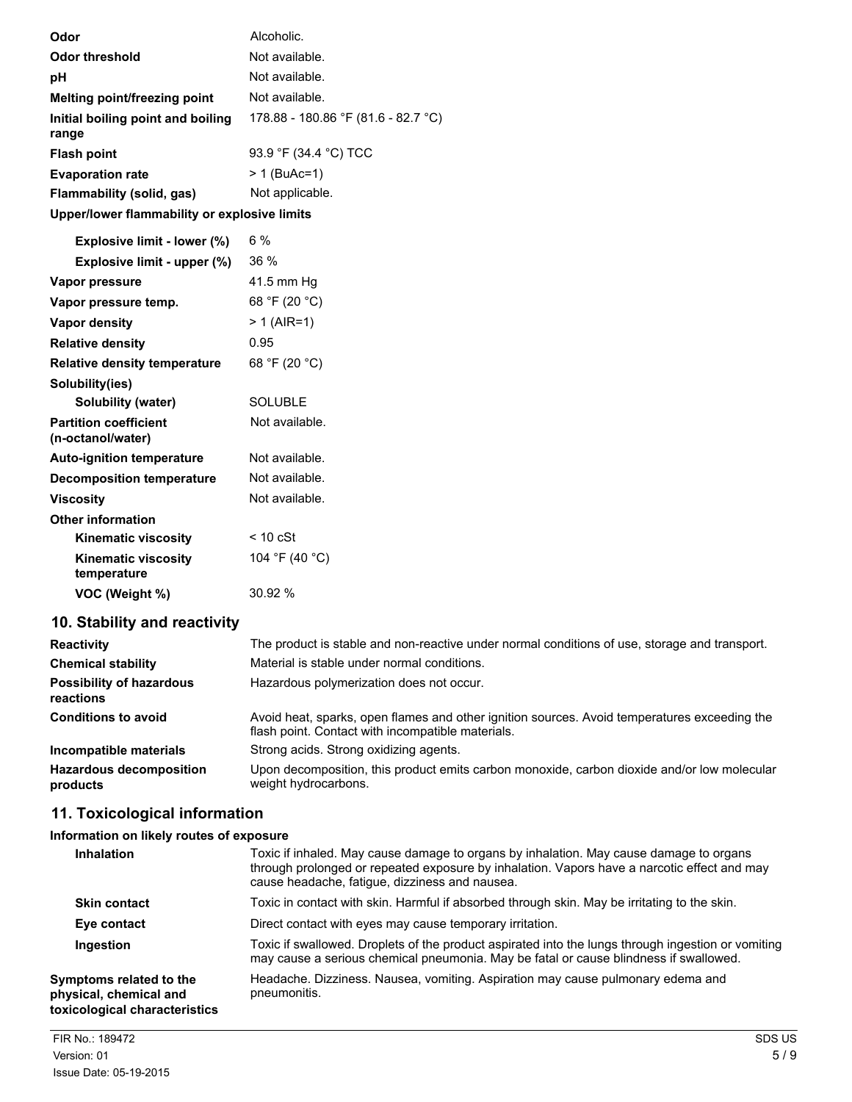| Odor                                         | Alcoholic.                          |
|----------------------------------------------|-------------------------------------|
| <b>Odor threshold</b>                        | Not available.                      |
| рH                                           | Not available.                      |
| Melting point/freezing point                 | Not available.                      |
| Initial boiling point and boiling<br>range   | 178.88 - 180.86 °F (81.6 - 82.7 °C) |
| <b>Flash point</b>                           | 93.9 °F (34.4 °C) TCC               |
| <b>Evaporation rate</b>                      | > 1 (BuAc=1)                        |
| Flammability (solid, gas)                    | Not applicable.                     |
| Upper/lower flammability or explosive limits |                                     |
| Explosive limit - lower (%)                  | 6%                                  |

| EXPIOSIVE IIIIIII - IOWEF (70)                    | U 70           |
|---------------------------------------------------|----------------|
| Explosive limit - upper (%)                       | $36\%$         |
| Vapor pressure                                    | 41.5 mm Hq     |
| Vapor pressure temp.                              | 68 °F (20 °C)  |
| Vapor density                                     | $> 1$ (AIR=1)  |
| <b>Relative density</b>                           | 0.95           |
| <b>Relative density temperature</b>               | 68 °F (20 °C)  |
| Solubility(ies)                                   |                |
| Solubility (water)                                | SOLUBLE        |
| <b>Partition coefficient</b><br>(n-octanol/water) | Not available. |
| <b>Auto-ignition temperature</b>                  | Not available. |
| <b>Decomposition temperature</b>                  | Not available. |
| <b>Viscosity</b>                                  | Not available. |
| <b>Other information</b>                          |                |
| <b>Kinematic viscosity</b>                        | < 10 cSt       |
| <b>Kinematic viscosity</b><br>temperature         | 104 °F (40 °C) |
| VOC (Weight %)                                    | 30.92 %        |
|                                                   |                |

## **10. Stability and reactivity**

| <b>Reactivity</b>                            | The product is stable and non-reactive under normal conditions of use, storage and transport.                                                     |
|----------------------------------------------|---------------------------------------------------------------------------------------------------------------------------------------------------|
| <b>Chemical stability</b>                    | Material is stable under normal conditions.                                                                                                       |
| <b>Possibility of hazardous</b><br>reactions | Hazardous polymerization does not occur.                                                                                                          |
| <b>Conditions to avoid</b>                   | Avoid heat, sparks, open flames and other ignition sources. Avoid temperatures exceeding the<br>flash point. Contact with incompatible materials. |
| Incompatible materials                       | Strong acids. Strong oxidizing agents.                                                                                                            |
| <b>Hazardous decomposition</b><br>products   | Upon decomposition, this product emits carbon monoxide, carbon dioxide and/or low molecular<br>weight hydrocarbons.                               |

## **11. Toxicological information**

### **Information on likely routes of exposure**

| <b>Inhalation</b>                                                                  | Toxic if inhaled. May cause damage to organs by inhalation. May cause damage to organs<br>through prolonged or repeated exposure by inhalation. Vapors have a narcotic effect and may<br>cause headache, fatigue, dizziness and nausea. |
|------------------------------------------------------------------------------------|-----------------------------------------------------------------------------------------------------------------------------------------------------------------------------------------------------------------------------------------|
| <b>Skin contact</b>                                                                | Toxic in contact with skin. Harmful if absorbed through skin. May be irritating to the skin.                                                                                                                                            |
| Eye contact                                                                        | Direct contact with eyes may cause temporary irritation.                                                                                                                                                                                |
| Ingestion                                                                          | Toxic if swallowed. Droplets of the product aspirated into the lungs through ingestion or vomiting<br>may cause a serious chemical pneumonia. May be fatal or cause blindness if swallowed.                                             |
| Symptoms related to the<br>physical, chemical and<br>toxicological characteristics | Headache. Dizziness. Nausea, vomiting. Aspiration may cause pulmonary edema and<br>pneumonitis.                                                                                                                                         |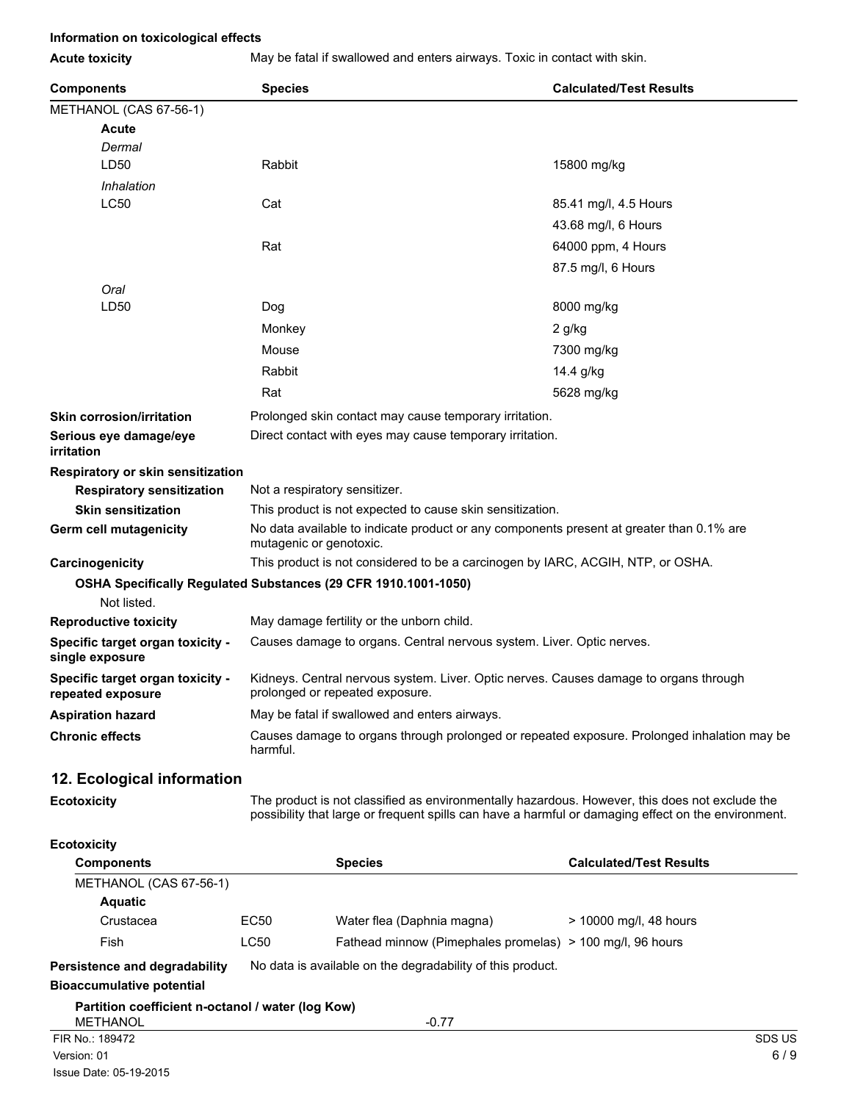### **Information on toxicological effects**

**Acute toxicity** May be fatal if swallowed and enters airways. Toxic in contact with skin.

| <b>Components</b>                                     | <b>Species</b>                                                                                                           | <b>Calculated/Test Results</b>                                                                                                                                                                        |  |  |
|-------------------------------------------------------|--------------------------------------------------------------------------------------------------------------------------|-------------------------------------------------------------------------------------------------------------------------------------------------------------------------------------------------------|--|--|
| METHANOL (CAS 67-56-1)                                |                                                                                                                          |                                                                                                                                                                                                       |  |  |
| <b>Acute</b>                                          |                                                                                                                          |                                                                                                                                                                                                       |  |  |
| Dermal                                                |                                                                                                                          |                                                                                                                                                                                                       |  |  |
| LD50                                                  | Rabbit                                                                                                                   | 15800 mg/kg                                                                                                                                                                                           |  |  |
| Inhalation                                            |                                                                                                                          |                                                                                                                                                                                                       |  |  |
| LC50                                                  | Cat                                                                                                                      | 85.41 mg/l, 4.5 Hours                                                                                                                                                                                 |  |  |
|                                                       |                                                                                                                          | 43.68 mg/l, 6 Hours                                                                                                                                                                                   |  |  |
|                                                       | Rat                                                                                                                      | 64000 ppm, 4 Hours                                                                                                                                                                                    |  |  |
|                                                       |                                                                                                                          | 87.5 mg/l, 6 Hours                                                                                                                                                                                    |  |  |
| Oral                                                  |                                                                                                                          |                                                                                                                                                                                                       |  |  |
| LD50                                                  | Dog                                                                                                                      | 8000 mg/kg                                                                                                                                                                                            |  |  |
|                                                       | Monkey                                                                                                                   | $2$ g/kg                                                                                                                                                                                              |  |  |
|                                                       | Mouse                                                                                                                    | 7300 mg/kg                                                                                                                                                                                            |  |  |
|                                                       | Rabbit                                                                                                                   | 14.4 g/kg                                                                                                                                                                                             |  |  |
|                                                       | Rat                                                                                                                      | 5628 mg/kg                                                                                                                                                                                            |  |  |
| <b>Skin corrosion/irritation</b>                      | Prolonged skin contact may cause temporary irritation.                                                                   |                                                                                                                                                                                                       |  |  |
| Serious eye damage/eye<br>irritation                  | Direct contact with eyes may cause temporary irritation.                                                                 |                                                                                                                                                                                                       |  |  |
| Respiratory or skin sensitization                     |                                                                                                                          |                                                                                                                                                                                                       |  |  |
| <b>Respiratory sensitization</b>                      | Not a respiratory sensitizer.                                                                                            |                                                                                                                                                                                                       |  |  |
| <b>Skin sensitization</b>                             | This product is not expected to cause skin sensitization.                                                                |                                                                                                                                                                                                       |  |  |
| Germ cell mutagenicity                                | No data available to indicate product or any components present at greater than 0.1% are<br>mutagenic or genotoxic.      |                                                                                                                                                                                                       |  |  |
| Carcinogenicity                                       |                                                                                                                          | This product is not considered to be a carcinogen by IARC, ACGIH, NTP, or OSHA.                                                                                                                       |  |  |
| Not listed.                                           | OSHA Specifically Regulated Substances (29 CFR 1910.1001-1050)                                                           |                                                                                                                                                                                                       |  |  |
| <b>Reproductive toxicity</b>                          | May damage fertility or the unborn child.                                                                                |                                                                                                                                                                                                       |  |  |
| Specific target organ toxicity -<br>single exposure   | Causes damage to organs. Central nervous system. Liver. Optic nerves.                                                    |                                                                                                                                                                                                       |  |  |
| Specific target organ toxicity -<br>repeated exposure | Kidneys. Central nervous system. Liver. Optic nerves. Causes damage to organs through<br>prolonged or repeated exposure. |                                                                                                                                                                                                       |  |  |
| <b>Aspiration hazard</b>                              | May be fatal if swallowed and enters airways.                                                                            |                                                                                                                                                                                                       |  |  |
| <b>Chronic effects</b>                                | Causes damage to organs through prolonged or repeated exposure. Prolonged inhalation may be<br>harmful.                  |                                                                                                                                                                                                       |  |  |
| 12. Ecological information                            |                                                                                                                          |                                                                                                                                                                                                       |  |  |
| <b>Ecotoxicity</b>                                    |                                                                                                                          | The product is not classified as environmentally hazardous. However, this does not exclude the<br>possibility that large or frequent spills can have a harmful or damaging effect on the environment. |  |  |
| <b>Ecotoxicity</b>                                    |                                                                                                                          |                                                                                                                                                                                                       |  |  |
|                                                       |                                                                                                                          | . <del>.</del>                                                                                                                                                                                        |  |  |

| <b>Components</b>                                 |                  | <b>Species</b>                                             | <b>Calculated/Test Results</b> |
|---------------------------------------------------|------------------|------------------------------------------------------------|--------------------------------|
| METHANOL (CAS 67-56-1)                            |                  |                                                            |                                |
| <b>Aquatic</b>                                    |                  |                                                            |                                |
| Crustacea                                         | EC <sub>50</sub> | Water flea (Daphnia magna)                                 | $> 10000$ mg/l, 48 hours       |
| Fish                                              | LC50             | Fathead minnow (Pimephales promelas) > 100 mg/l, 96 hours  |                                |
| Persistence and degradability                     |                  | No data is available on the degradability of this product. |                                |
| <b>Bioaccumulative potential</b>                  |                  |                                                            |                                |
| Partition coefficient n-octanol / water (log Kow) |                  |                                                            |                                |
| <b>METHANOL</b>                                   |                  | $-0.77$                                                    |                                |
| FIR No.: 189472                                   |                  |                                                            | SDS US                         |
| Version: 01                                       |                  |                                                            | 6/9                            |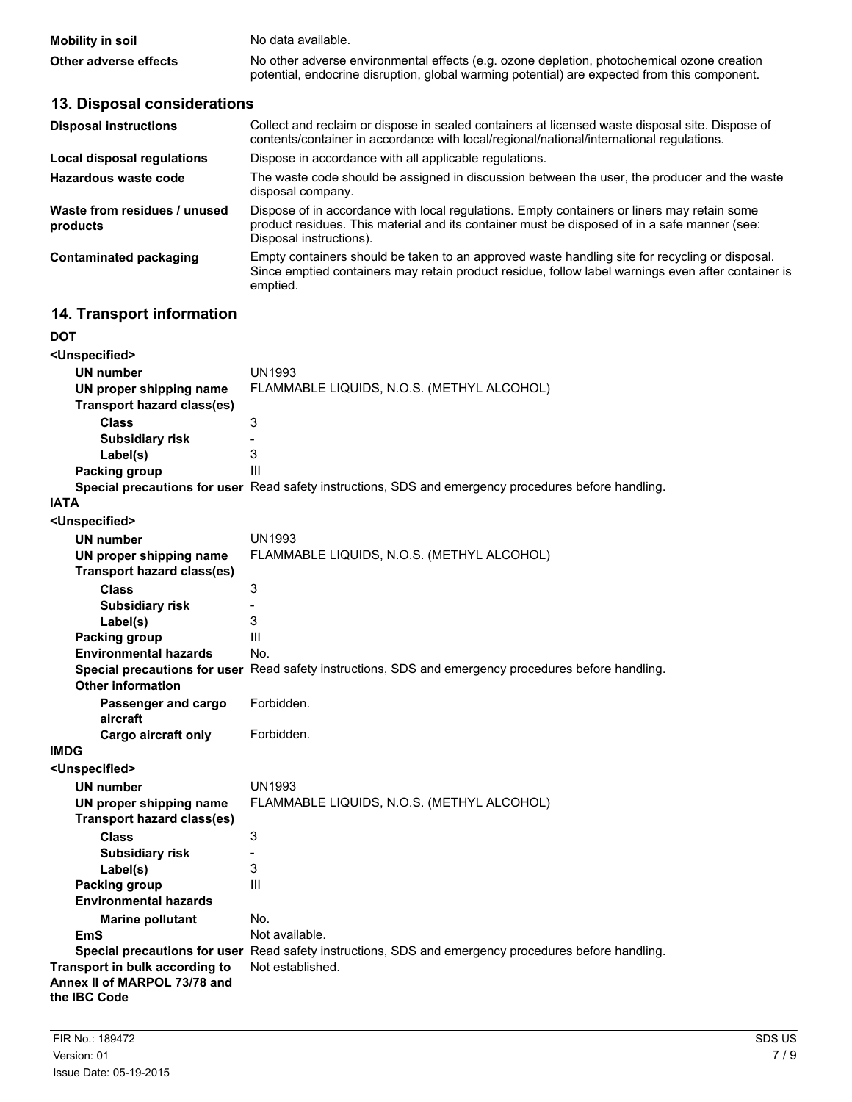| <b>Mobility in soil</b> | No data available.                                                                                                                                                                         |
|-------------------------|--------------------------------------------------------------------------------------------------------------------------------------------------------------------------------------------|
| Other adverse effects   | No other adverse environmental effects (e.g. ozone depletion, photochemical ozone creation<br>potential, endocrine disruption, global warming potential) are expected from this component. |

## **13. Disposal considerations**

| <b>Disposal instructions</b>             | Collect and reclaim or dispose in sealed containers at licensed waste disposal site. Dispose of<br>contents/container in accordance with local/regional/national/international regulations.                            |
|------------------------------------------|------------------------------------------------------------------------------------------------------------------------------------------------------------------------------------------------------------------------|
| Local disposal regulations               | Dispose in accordance with all applicable regulations.                                                                                                                                                                 |
| Hazardous waste code                     | The waste code should be assigned in discussion between the user, the producer and the waste<br>disposal company.                                                                                                      |
| Waste from residues / unused<br>products | Dispose of in accordance with local regulations. Empty containers or liners may retain some<br>product residues. This material and its container must be disposed of in a safe manner (see:<br>Disposal instructions). |
| Contaminated packaging                   | Empty containers should be taken to an approved waste handling site for recycling or disposal.<br>Since emptied containers may retain product residue, follow label warnings even after container is<br>emptied.       |

### **14. Transport information**

| DOT                                |                                                                                                      |
|------------------------------------|------------------------------------------------------------------------------------------------------|
| <unspecified></unspecified>        |                                                                                                      |
| <b>UN number</b>                   | <b>UN1993</b>                                                                                        |
| UN proper shipping name            | FLAMMABLE LIQUIDS, N.O.S. (METHYL ALCOHOL)                                                           |
| <b>Transport hazard class(es)</b>  |                                                                                                      |
| <b>Class</b>                       | 3                                                                                                    |
| <b>Subsidiary risk</b>             | $\overline{a}$                                                                                       |
| Label(s)                           | 3                                                                                                    |
| <b>Packing group</b>               | Ш                                                                                                    |
|                                    | Special precautions for user Read safety instructions, SDS and emergency procedures before handling. |
| <b>IATA</b>                        |                                                                                                      |
| <unspecified></unspecified>        |                                                                                                      |
| <b>UN number</b>                   | UN1993                                                                                               |
| UN proper shipping name            | FLAMMABLE LIQUIDS, N.O.S. (METHYL ALCOHOL)                                                           |
| <b>Transport hazard class(es)</b>  |                                                                                                      |
| <b>Class</b>                       | 3                                                                                                    |
| <b>Subsidiary risk</b>             | $\overline{a}$                                                                                       |
| Label(s)                           | 3                                                                                                    |
| <b>Packing group</b>               | Ш                                                                                                    |
| <b>Environmental hazards</b>       | No.                                                                                                  |
|                                    | Special precautions for user Read safety instructions, SDS and emergency procedures before handling. |
| <b>Other information</b>           |                                                                                                      |
| Passenger and cargo                | Forbidden.                                                                                           |
| aircraft                           |                                                                                                      |
| Cargo aircraft only<br><b>IMDG</b> | Forbidden.                                                                                           |
|                                    |                                                                                                      |
| <unspecified></unspecified>        |                                                                                                      |
| <b>UN number</b>                   | <b>UN1993</b>                                                                                        |
| UN proper shipping name            | FLAMMABLE LIQUIDS, N.O.S. (METHYL ALCOHOL)                                                           |
| <b>Transport hazard class(es)</b>  |                                                                                                      |
| <b>Class</b>                       | 3                                                                                                    |
| <b>Subsidiary risk</b>             | $\blacksquare$<br>3                                                                                  |
| Label(s)<br><b>Packing group</b>   | Ш                                                                                                    |
| <b>Environmental hazards</b>       |                                                                                                      |
|                                    | No.                                                                                                  |
| <b>Marine pollutant</b><br>EmS     | Not available.                                                                                       |
|                                    | Special precautions for user Read safety instructions, SDS and emergency procedures before handling. |
| Transport in bulk according to     | Not established.                                                                                     |
| Annex II of MARPOL 73/78 and       |                                                                                                      |
| the IBC Code                       |                                                                                                      |
|                                    |                                                                                                      |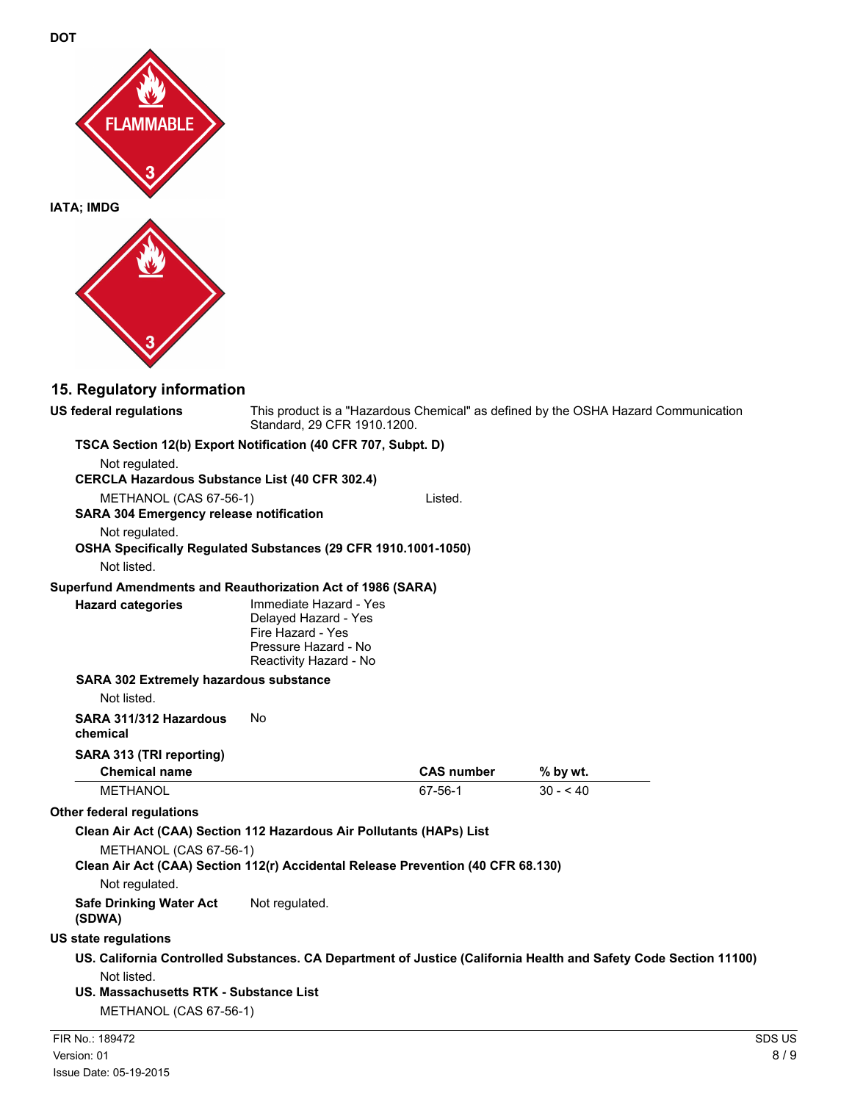



## **15. Regulatory information**

| <b>US federal regulations</b>                                                    | Standard, 29 CFR 1910.1200.                                                                                           |                   | This product is a "Hazardous Chemical" as defined by the OSHA Hazard Communication                               |               |
|----------------------------------------------------------------------------------|-----------------------------------------------------------------------------------------------------------------------|-------------------|------------------------------------------------------------------------------------------------------------------|---------------|
| TSCA Section 12(b) Export Notification (40 CFR 707, Subpt. D)<br>Not regulated.  |                                                                                                                       |                   |                                                                                                                  |               |
| <b>CERCLA Hazardous Substance List (40 CFR 302.4)</b>                            |                                                                                                                       |                   |                                                                                                                  |               |
| METHANOL (CAS 67-56-1)                                                           |                                                                                                                       | Listed.           |                                                                                                                  |               |
| <b>SARA 304 Emergency release notification</b>                                   |                                                                                                                       |                   |                                                                                                                  |               |
| Not regulated.                                                                   |                                                                                                                       |                   |                                                                                                                  |               |
| OSHA Specifically Regulated Substances (29 CFR 1910.1001-1050)                   |                                                                                                                       |                   |                                                                                                                  |               |
| Not listed.                                                                      |                                                                                                                       |                   |                                                                                                                  |               |
| Superfund Amendments and Reauthorization Act of 1986 (SARA)                      |                                                                                                                       |                   |                                                                                                                  |               |
| <b>Hazard categories</b>                                                         | Immediate Hazard - Yes<br>Delayed Hazard - Yes<br>Fire Hazard - Yes<br>Pressure Hazard - No<br>Reactivity Hazard - No |                   |                                                                                                                  |               |
| <b>SARA 302 Extremely hazardous substance</b>                                    |                                                                                                                       |                   |                                                                                                                  |               |
| Not listed.                                                                      |                                                                                                                       |                   |                                                                                                                  |               |
| SARA 311/312 Hazardous<br>chemical                                               | No                                                                                                                    |                   |                                                                                                                  |               |
| SARA 313 (TRI reporting)                                                         |                                                                                                                       |                   |                                                                                                                  |               |
| <b>Chemical name</b>                                                             |                                                                                                                       | <b>CAS number</b> | % by wt.                                                                                                         |               |
| <b>METHANOL</b>                                                                  |                                                                                                                       | 67-56-1           | $30 - 40$                                                                                                        |               |
| <b>Other federal regulations</b>                                                 |                                                                                                                       |                   |                                                                                                                  |               |
| Clean Air Act (CAA) Section 112 Hazardous Air Pollutants (HAPs) List             |                                                                                                                       |                   |                                                                                                                  |               |
| METHANOL (CAS 67-56-1)                                                           |                                                                                                                       |                   |                                                                                                                  |               |
| Clean Air Act (CAA) Section 112(r) Accidental Release Prevention (40 CFR 68.130) |                                                                                                                       |                   |                                                                                                                  |               |
| Not regulated.                                                                   |                                                                                                                       |                   |                                                                                                                  |               |
| <b>Safe Drinking Water Act</b><br>(SDWA)                                         | Not regulated.                                                                                                        |                   |                                                                                                                  |               |
| <b>US state regulations</b>                                                      |                                                                                                                       |                   |                                                                                                                  |               |
|                                                                                  |                                                                                                                       |                   | US. California Controlled Substances. CA Department of Justice (California Health and Safety Code Section 11100) |               |
| Not listed.                                                                      |                                                                                                                       |                   |                                                                                                                  |               |
| US. Massachusetts RTK - Substance List                                           |                                                                                                                       |                   |                                                                                                                  |               |
| METHANOL (CAS 67-56-1)                                                           |                                                                                                                       |                   |                                                                                                                  |               |
| FIR No.: 189472                                                                  |                                                                                                                       |                   |                                                                                                                  | <b>SDS US</b> |